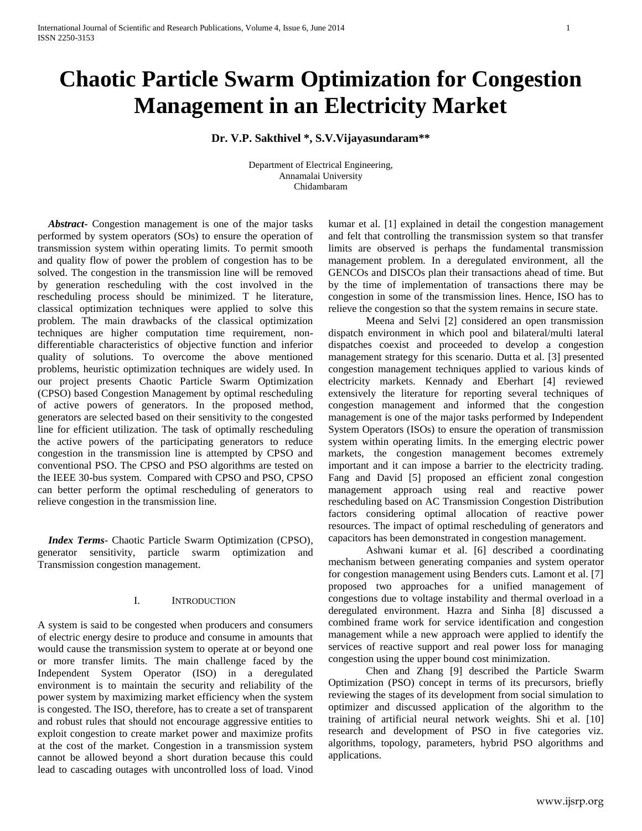# **Chaotic Particle Swarm Optimization for Congestion Management in an Electricity Market**

**Dr. V.P. Sakthivel \*, S.V.Vijayasundaram\*\***

Department of Electrical Engineering, Annamalai University Chidambaram

 *Abstract***-** Congestion management is one of the major tasks performed by system operators (SOs) to ensure the operation of transmission system within operating limits. To permit smooth and quality flow of power the problem of congestion has to be solved. The congestion in the transmission line will be removed by generation rescheduling with the cost involved in the rescheduling process should be minimized. T he literature, classical optimization techniques were applied to solve this problem. The main drawbacks of the classical optimization techniques are higher computation time requirement, nondifferentiable characteristics of objective function and inferior quality of solutions. To overcome the above mentioned problems, heuristic optimization techniques are widely used. In our project presents Chaotic Particle Swarm Optimization (CPSO) based Congestion Management by optimal rescheduling of active powers of generators. In the proposed method, generators are selected based on their sensitivity to the congested line for efficient utilization. The task of optimally rescheduling the active powers of the participating generators to reduce congestion in the transmission line is attempted by CPSO and conventional PSO. The CPSO and PSO algorithms are tested on the IEEE 30-bus system. Compared with CPSO and PSO, CPSO can better perform the optimal rescheduling of generators to relieve congestion in the transmission line.

 *Index Terms*- Chaotic Particle Swarm Optimization (CPSO), generator sensitivity, particle swarm optimization and Transmission congestion management.

# I. INTRODUCTION

A system is said to be congested when producers and consumers of electric energy desire to produce and consume in amounts that would cause the transmission system to operate at or beyond one or more transfer limits. The main challenge faced by the Independent System Operator (ISO) in a deregulated environment is to maintain the security and reliability of the power system by maximizing market efficiency when the system is congested. The ISO, therefore, has to create a set of transparent and robust rules that should not encourage aggressive entities to exploit congestion to create market power and maximize profits at the cost of the market. Congestion in a transmission system cannot be allowed beyond a short duration because this could lead to cascading outages with uncontrolled loss of load. Vinod kumar et al. [1] explained in detail the congestion management and felt that controlling the transmission system so that transfer limits are observed is perhaps the fundamental transmission management problem. In a deregulated environment, all the GENCOs and DISCOs plan their transactions ahead of time. But by the time of implementation of transactions there may be congestion in some of the transmission lines. Hence, ISO has to relieve the congestion so that the system remains in secure state.

Meena and Selvi [2] considered an open transmission dispatch environment in which pool and bilateral/multi lateral dispatches coexist and proceeded to develop a congestion management strategy for this scenario. Dutta et al. [3] presented congestion management techniques applied to various kinds of electricity markets. Kennady and Eberhart [4] reviewed extensively the literature for reporting several techniques of congestion management and informed that the congestion management is one of the major tasks performed by Independent System Operators (ISOs) to ensure the operation of transmission system within operating limits. In the emerging electric power markets, the congestion management becomes extremely important and it can impose a barrier to the electricity trading. Fang and David [5] proposed an efficient zonal congestion management approach using real and reactive power rescheduling based on AC Transmission Congestion Distribution factors considering optimal allocation of reactive power resources. The impact of optimal rescheduling of generators and capacitors has been demonstrated in congestion management.

Ashwani kumar et al. [6] described a coordinating mechanism between generating companies and system operator for congestion management using Benders cuts. Lamont et al. [7] proposed two approaches for a unified management of congestions due to voltage instability and thermal overload in a deregulated environment. Hazra and Sinha [8] discussed a combined frame work for service identification and congestion management while a new approach were applied to identify the services of reactive support and real power loss for managing congestion using the upper bound cost minimization.

Chen and Zhang [9] described the Particle Swarm Optimization (PSO) concept in terms of its precursors, briefly reviewing the stages of its development from social simulation to optimizer and discussed application of the algorithm to the training of artificial neural network weights. Shi et al. [10] research and development of PSO in five categories viz. algorithms, topology, parameters, hybrid PSO algorithms and applications.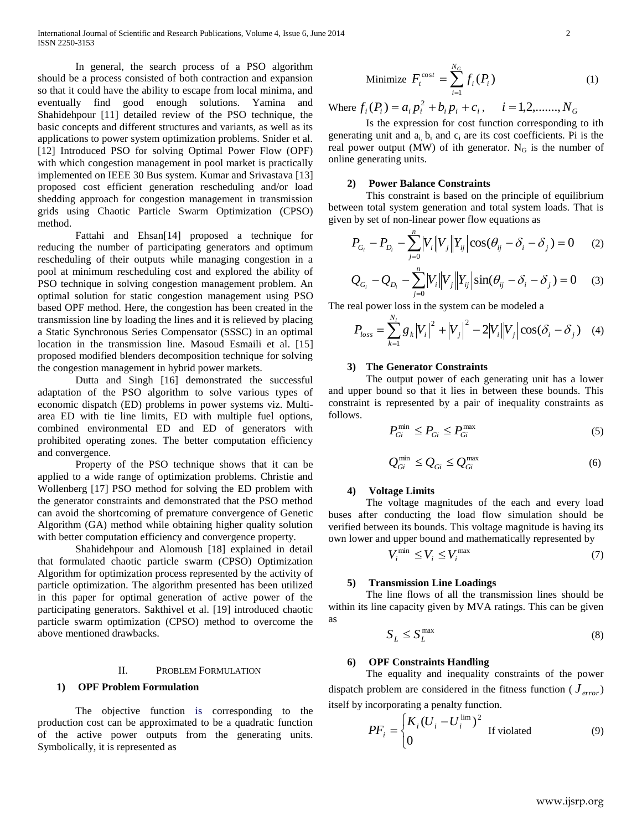International Journal of Scientific and Research Publications, Volume 4, Issue 6, June 2014 2 ISSN 2250-3153

In general, the search process of a PSO algorithm should be a process consisted of both contraction and expansion so that it could have the ability to escape from local minima, and eventually find good enough solutions. Yamina and Shahidehpour [11] detailed review of the PSO technique, the basic concepts and different structures and variants, as well as its applications to power system optimization problems. Snider et al. [12] Introduced PSO for solving Optimal Power Flow (OPF) with which congestion management in pool market is practically implemented on IEEE 30 Bus system. Kumar and Srivastava [13] proposed cost efficient generation rescheduling and/or load shedding approach for congestion management in transmission grids using Chaotic Particle Swarm Optimization (CPSO) method.

Fattahi and Ehsan<sup>[14]</sup> proposed a technique for reducing the number of participating generators and optimum rescheduling of their outputs while managing congestion in a pool at minimum rescheduling cost and explored the ability of PSO technique in solving congestion management problem. An optimal solution for static congestion management using PSO based OPF method. Here, the congestion has been created in the transmission line by loading the lines and it is relieved by placing a Static Synchronous Series Compensator (SSSC) in an optimal location in the transmission line. Masoud Esmaili et al. [15] proposed modified blenders decomposition technique for solving the congestion management in hybrid power markets.

Dutta and Singh [16] demonstrated the successful adaptation of the PSO algorithm to solve various types of economic dispatch (ED) problems in power systems viz. Multiarea ED with tie line limits, ED with multiple fuel options, combined environmental ED and ED of generators with prohibited operating zones. The better computation efficiency and convergence.

Property of the PSO technique shows that it can be applied to a wide range of optimization problems. Christie and Wollenberg [17] PSO method for solving the ED problem with the generator constraints and demonstrated that the PSO method can avoid the shortcoming of premature convergence of Genetic Algorithm (GA) method while obtaining higher quality solution with better computation efficiency and convergence property.

Shahidehpour and Alomoush [18] explained in detail that formulated chaotic particle swarm (CPSO) Optimization Algorithm for optimization process represented by the activity of particle optimization. The algorithm presented has been utilized in this paper for optimal generation of active power of the participating generators. Sakthivel et al. [19] introduced chaotic particle swarm optimization (CPSO) method to overcome the above mentioned drawbacks.

#### II. PROBLEM FORMULATION

# **1) OPF Problem Formulation**

The objective function is corresponding to the production cost can be approximated to be a quadratic function of the active power outputs from the generating units. Symbolically, it is represented as

$$
\text{Minimize } F_t^{\cos t} = \sum_{i=1}^{N_G} f_i(P_i) \tag{1}
$$

Where  $f_i(P_i) = a_i p_i^2 + b_i p_i + c_i$ ,  $i = 1, 2, \dots, N_G$ 

Is the expression for cost function corresponding to ith generating unit and  $a_i$ ,  $b_i$  and  $c_i$  are its cost coefficients. Pi is the real power output (MW) of ith generator.  $N_G$  is the number of online generating units.

# **2) Power Balance Constraints**

This constraint is based on the principle of equilibrium between total system generation and total system loads. That is given by set of non-linear power flow equations as

$$
P_{G_i} - P_{D_i} - \sum_{j=0}^{n} |V_i||V_j||Y_{ij}|\cos(\theta_{ij} - \delta_i - \delta_j) = 0 \quad (2)
$$

$$
Q_{G_i} - Q_{D_i} - \sum_{j=0}^{n} |V_i||V_j||Y_{ij}| \sin(\theta_{ij} - \delta_i - \delta_j) = 0
$$
 (3)

The real power loss in the system can be modeled a

$$
P_{loss} = \sum_{k=1}^{N_I} g_k |V_i|^2 + |V_j|^2 - 2|V_i||V_j|\cos(\delta_i - \delta_j)
$$
 (4)

#### **3) The Generator Constraints**

The output power of each generating unit has a lower and upper bound so that it lies in between these bounds. This constraint is represented by a pair of inequality constraints as follows.

$$
P_{Gi}^{\min} \le P_{Gi} \le P_{Gi}^{\max} \tag{5}
$$

$$
Q_{Gi}^{\min} \leq Q_{Gi} \leq Q_{Gi}^{\max} \tag{6}
$$

# **4) Voltage Limits**

The voltage magnitudes of the each and every load buses after conducting the load flow simulation should be verified between its bounds. This voltage magnitude is having its own lower and upper bound and mathematically represented by

$$
V_i^{\min} \le V_i \le V_i^{\max} \tag{7}
$$

# **5) Transmission Line Loadings**

The line flows of all the transmission lines should be within its line capacity given by MVA ratings. This can be given as

$$
S_L \le S_L^{\text{max}} \tag{8}
$$

# **6) OPF Constraints Handling**

The equality and inequality constraints of the power dispatch problem are considered in the fitness function ( $J<sub>error</sub>$ ) itself by incorporating a penalty function.

$$
PF_i = \begin{cases} K_i (U_i - U_i^{\lim})^2 & \text{if violated} \\ 0 & \text{if violated} \end{cases}
$$
 (9)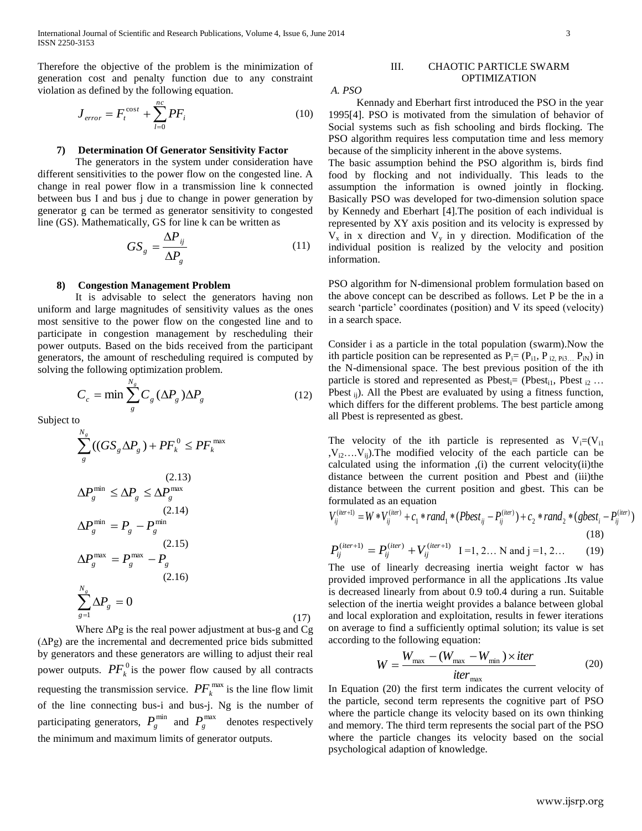Therefore the objective of the problem is the minimization of generation cost and penalty function due to any constraint violation as defined by the following equation.

$$
J_{error} = F_t^{\cos t} + \sum_{l=0}^{nc} PF_i
$$
 (10)

# **7) Determination Of Generator Sensitivity Factor**

The generators in the system under consideration have different sensitivities to the power flow on the congested line. A change in real power flow in a transmission line k connected between bus I and bus j due to change in power generation by generator g can be termed as generator sensitivity to congested line (GS). Mathematically, GS for line k can be written as

$$
GS_g = \frac{\Delta P_{ij}}{\Delta P_g} \tag{11}
$$

# **8) Congestion Management Problem**

It is advisable to select the generators having non uniform and large magnitudes of sensitivity values as the ones most sensitive to the power flow on the congested line and to participate in congestion management by rescheduling their power outputs. Based on the bids received from the participant generators, the amount of rescheduling required is computed by solving the following optimization problem.

$$
C_c = \min \sum_{g}^{N_g} C_g \left(\Delta P_g\right) \Delta P_g \tag{12}
$$

Subject to

$$
\sum_{g}^{N_g} ((GS_g \Delta P_g) + PF_k^0 \le PF_k^{\max})
$$
\n
$$
\Delta P_g^{\min} \le \Delta P_g \le \Delta P_g^{\max}
$$
\n(2.13)\n
$$
\Delta P_g^{\min} = P_g - P_g^{\min}
$$
\n(2.14)\n
$$
\Delta P_g^{\max} = P_g - P_g^{\min}
$$
\n(2.15)\n
$$
\Delta P_g^{\max} = P_g^{\max} - P_g
$$
\n(2.16)\n
$$
\sum_{g=1}^{N_g} \Delta P_g = 0
$$
\n(17)

Where ∆Pg is the real power adjustment at bus-g and Cg (∆Pg) are the incremental and decremented price bids submitted by generators and these generators are willing to adjust their real power outputs.  $PF_k^0$  is the power flow caused by all contracts requesting the transmission service.  $PF_k^{\max}$  is the line flow limit of the line connecting bus-i and bus-j. Ng is the number of participating generators,  $P_g^{\text{min}}$  and  $P_g^{\text{max}}$  denotes respectively the minimum and maximum limits of generator outputs.

### III. CHAOTIC PARTICLE SWARM OPTIMIZATION

*A. PSO*

Kennady and Eberhart first introduced the PSO in the year 1995[4]. PSO is motivated from the simulation of behavior of Social systems such as fish schooling and birds flocking. The PSO algorithm requires less computation time and less memory because of the simplicity inherent in the above systems.

The basic assumption behind the PSO algorithm is, birds find food by flocking and not individually. This leads to the assumption the information is owned jointly in flocking. Basically PSO was developed for two-dimension solution space by Kennedy and Eberhart [4].The position of each individual is represented by XY axis position and its velocity is expressed by  $V_x$  in x direction and  $V_y$  in y direction. Modification of the individual position is realized by the velocity and position information.

PSO algorithm for N-dimensional problem formulation based on the above concept can be described as follows. Let P be the in a search 'particle' coordinates (position) and V its speed (velocity) in a search space.

Consider i as a particle in the total population (swarm).Now the ith particle position can be represented as  $P_i = (P_{i1}, P_{i2, Pi3...} P_{iN})$  in the N-dimensional space. The best previous position of the ith particle is stored and represented as  $Pbest_i = (Pbest_{i1}, Pbest_{i2} ...$ Pbest i). All the Pbest are evaluated by using a fitness function, which differs for the different problems. The best particle among all Pbest is represented as gbest.

The velocity of the ith particle is represented as  $V_i=(V_{i1})$  $V_{i2}$ .... $V_{ii}$ ). The modified velocity of the each particle can be calculated using the information ,(i) the current velocity(ii)the distance between the current position and Pbest and (iii)the distance between the current position and gbest. This can be formulated as an equation

$$
V_{ij}^{(iter+1)} = W * V_{ij}^{(iter)} + c_1 * rand_1 * (Pbest_{ij} - P_{ij}^{(iter)}) + c_2 * rand_2 * (gbest_i - P_{ij}^{(iter)})
$$
\n
$$
P_{ij}^{(iter+1)} = P_{ij}^{(iter)} + V_{ij}^{(iter+1)} \quad 1 = 1, 2... \text{ N and j} = 1, 2... \quad (19)
$$
\n(18)

The use of linearly decreasing inertia weight factor w has provided improved performance in all the applications .Its value is decreased linearly from about 0.9 to0.4 during a run. Suitable selection of the inertia weight provides a balance between global and local exploration and exploitation, results in fewer iterations on average to find a sufficiently optimal solution; its value is set according to the following equation:

$$
W = \frac{W_{\text{max}} - (W_{\text{max}} - W_{\text{min}}) \times iter}{iter_{\text{max}}}
$$
(20)

In Equation (20) the first term indicates the current velocity of the particle, second term represents the cognitive part of PSO where the particle change its velocity based on its own thinking and memory. The third term represents the social part of the PSO where the particle changes its velocity based on the social psychological adaption of knowledge.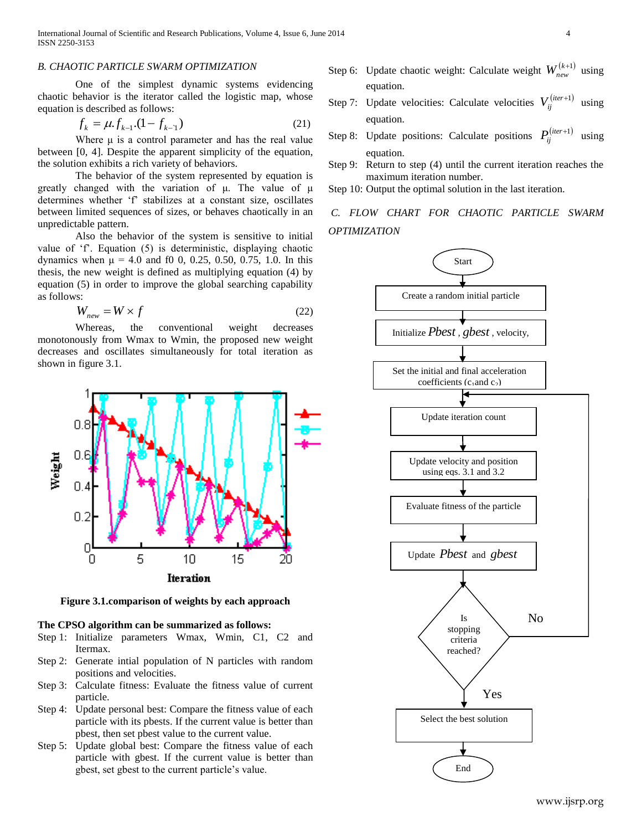# *B. CHAOTIC PARTICLE SWARM OPTIMIZATION*

One of the simplest dynamic systems evidencing chaotic behavior is the iterator called the logistic map, whose equation is described as follows:

$$
f_k = \mu f_{k-1} (1 - f_{k-1})
$$
\n(21)

Where  $\mu$  is a control parameter and has the real value between [0, 4]. Despite the apparent simplicity of the equation, the solution exhibits a rich variety of behaviors.

The behavior of the system represented by equation is greatly changed with the variation of μ. The value of μ determines whether 'f' stabilizes at a constant size, oscillates between limited sequences of sizes, or behaves chaotically in an unpredictable pattern.

Also the behavior of the system is sensitive to initial value of 'f'. Equation (5) is deterministic, displaying chaotic dynamics when  $\mu = 4.0$  and f0 0, 0.25, 0.50, 0.75, 1.0. In this thesis, the new weight is defined as multiplying equation (4) by equation (5) in order to improve the global searching capability as follows:

$$
W_{new} = W \times f \tag{22}
$$

Whereas, the conventional weight decreases monotonously from Wmax to Wmin, the proposed new weight decreases and oscillates simultaneously for total iteration as shown in figure 3.1.



**Figure 3.1.comparison of weights by each approach**

#### **The CPSO algorithm can be summarized as follows:**

- Step 1: Initialize parameters Wmax, Wmin, C1, C2 and Itermax.
- Step 2: Generate intial population of N particles with random positions and velocities.
- Step 3: Calculate fitness: Evaluate the fitness value of current particle.
- Step 4: Update personal best: Compare the fitness value of each particle with its pbests. If the current value is better than pbest, then set pbest value to the current value.
- Step 5: Update global best: Compare the fitness value of each particle with gbest. If the current value is better than gbest, set gbest to the current particle's value.
- Step 6: Update chaotic weight: Calculate weight  $W_{new}^{(k+1)}$  using equation.
- Step 7: Update velocities: Calculate velocities  $V_{ij}^{(iter+1)}$  using equation.
- Step 8: Update positions: Calculate positions  $P_{ij}^{(iter+1)}$ using equation.
- Step 9: Return to step (4) until the current iteration reaches the maximum iteration number.
- Step 10: Output the optimal solution in the last iteration.

*C. FLOW CHART FOR CHAOTIC PARTICLE SWARM OPTIMIZATION*

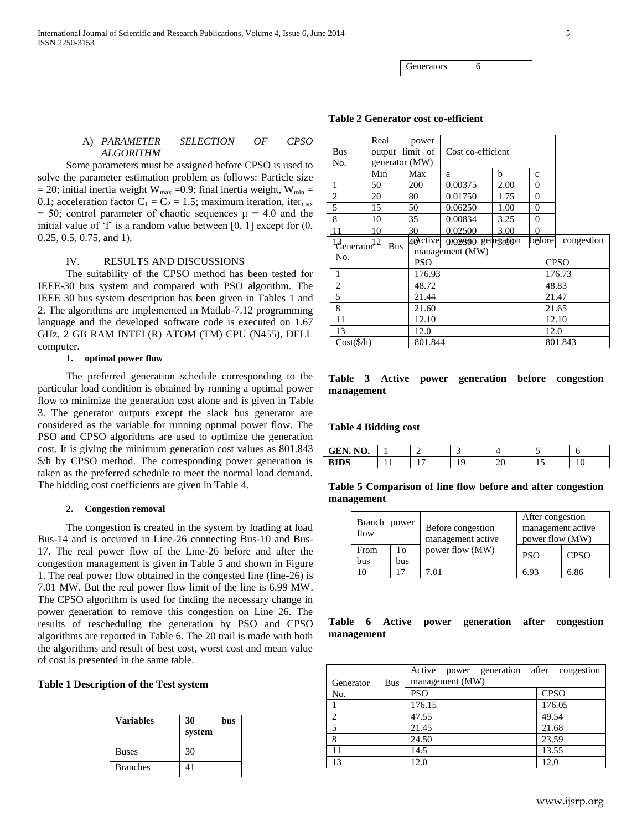Generators 6

# **Table 2 Generator cost co-efficient**

# A) *PARAMETER SELECTION OF CPSO ALGORITHM*

Some parameters must be assigned before CPSO is used to solve the parameter estimation problem as follows: Particle size = 20; initial inertia weight W<sub>max</sub> = 0.9; final inertia weight, W<sub>min</sub> = 0.1; acceleration factor  $C_1 = C_2 = 1.5$ ; maximum iteration, iter<sub>max</sub> = 50; control parameter of chaotic sequences  $\mu$  = 4.0 and the initial value of 'f' is a random value between  $[0, 1]$  except for  $(0, 1]$ 0.25, 0.5, 0.75, and 1).

# IV. RESULTS AND DISCUSSIONS

The suitability of the CPSO method has been tested for IEEE-30 bus system and compared with PSO algorithm. The IEEE 30 bus system description has been given in Tables 1 and 2. The algorithms are implemented in Matlab-7.12 programming language and the developed software code is executed on 1.67 GHz, 2 GB RAM INTEL(R) ATOM (TM) CPU (N455), DELL computer.

#### **1. optimal power flow**

The preferred generation schedule corresponding to the particular load condition is obtained by running a optimal power flow to minimize the generation cost alone and is given in Table 3. The generator outputs except the slack bus generator are considered as the variable for running optimal power flow. The PSO and CPSO algorithms are used to optimize the generation cost. It is giving the minimum generation cost values as 801.843 \$/h by CPSO method. The corresponding power generation is taken as the preferred schedule to meet the normal load demand. The bidding cost coefficients are given in Table 4.

#### **2. Congestion removal**

The congestion is created in the system by loading at load Bus-14 and is occurred in Line-26 connecting Bus-10 and Bus-17. The real power flow of the Line-26 before and after the congestion management is given in Table 5 and shown in Figure 1. The real power flow obtained in the congested line (line-26) is 7.01 MW. But the real power flow limit of the line is 6.99 MW. The CPSO algorithm is used for finding the necessary change in power generation to remove this congestion on Line 26. The results of rescheduling the generation by PSO and CPSO algorithms are reported in Table 6. The 20 trail is made with both the algorithms and result of best cost, worst cost and mean value of cost is presented in the same table.

#### **Table 1 Description of the Test system**

| <b>Variables</b> | 30<br>bus<br>system |  |
|------------------|---------------------|--|
| <b>Buses</b>     | 30                  |  |
| <b>Branches</b>  | 41                  |  |

|                        | Real             | power           |                    |      |              |        |             |
|------------------------|------------------|-----------------|--------------------|------|--------------|--------|-------------|
| <b>Bus</b>             |                  | output limit of | Cost co-efficient  |      |              |        |             |
| No.                    | generator (MW)   |                 |                    |      |              |        |             |
|                        | Min              | Max             | a                  | h    | $\mathbf{C}$ |        |             |
| 1                      | 50               | 200             | 0.00375            | 2.00 | 0            |        |             |
| $\overline{c}$         | 20               | 80              | 0.01750            | 1.75 | 0            |        |             |
| 5                      | 15               | 50              | 0.06250            | 1.00 | $\theta$     |        |             |
| 8                      | 10               | 35              | 0.00834            | 3.25 | $\theta$     |        |             |
| 11                     | 10               | 30              | 0.02500            | 3.00 | 0            |        |             |
| 13 <sub>enerator</sub> | 12<br><b>Bus</b> | 40Active        | (pO2500 genezagion |      |              | before | congestion  |
| No.                    |                  |                 | management (MW)    |      |              |        |             |
| PSO                    |                  |                 |                    |      |              |        | <b>CPSO</b> |
| 1<br>176.93            |                  |                 |                    |      |              | 176.73 |             |
| 2<br>48.72             |                  |                 |                    |      |              | 48.83  |             |
| 5<br>21.44             |                  |                 |                    |      | 21.47        |        |             |
| 8<br>21.60             |                  |                 |                    |      | 21.65        |        |             |
| 11<br>12.10            |                  |                 |                    |      | 12.10        |        |             |
| 13<br>12.0             |                  |                 |                    |      |              | 12.0   |             |
| Cost(S/h)<br>801.844   |                  |                 |                    |      |              |        | 801.843     |

# **Table 3 Active power generation before congestion management**

**Table 4 Bidding cost**

| GEN.<br>N <sub>O</sub><br>$\sim$ |  | . . |        |                          |    |
|----------------------------------|--|-----|--------|--------------------------|----|
| DIDC<br>טענע                     |  |     | ີ<br>້ | $\overline{\phantom{a}}$ | ΙV |

**Table 5 Comparison of line flow before and after congestion management**

| Branch power<br>flow |           | Before congestion<br>management active | After congestion<br>management active<br>power flow (MW) |             |  |
|----------------------|-----------|----------------------------------------|----------------------------------------------------------|-------------|--|
| From<br>bus          | Tо<br>bus | power flow (MW)                        | <b>PSO</b>                                               | <b>CPSO</b> |  |
| 10                   |           | 7 01                                   | 693                                                      | 6.86        |  |

# **Table 6 Active power generation after congestion management**

|                         | Active power generation after congestion<br>management (MW) |             |  |
|-------------------------|-------------------------------------------------------------|-------------|--|
| <b>Bus</b><br>Generator |                                                             |             |  |
| No.                     | <b>PSO</b>                                                  | <b>CPSO</b> |  |
|                         | 176.15                                                      | 176.05      |  |
| ∍                       | 47.55                                                       | 49.54       |  |
| $\tilde{z}$             | 21.45                                                       | 21.68       |  |
| 8                       | 24.50                                                       | 23.59       |  |
| 11                      | 14.5                                                        | 13.55       |  |
| 13                      | 12.0                                                        | 12.0        |  |